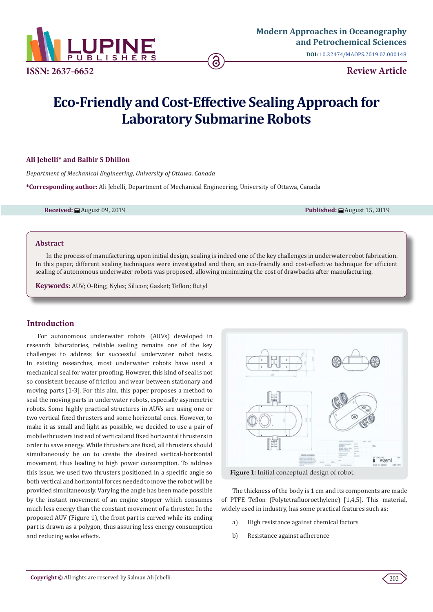

**DOI:** [10.32474/MAOPS.2019.02.000148](http://dx.doi.org/10.32474/MAOPS.2019.02.000148)

# **Eco-Friendly and Cost-Effective Sealing Approach for Laboratory Submarine Robots**

### **Ali Jebelli\* and Balbir S Dhillon**

*Department of Mechanical Engineering, University of Ottawa, Canada*

**\*Corresponding author:** Ali Jebelli, Department of Mechanical Engineering, University of Ottawa, Canada

**Received:** August 09, 2019 **Published:** August 15, 2019

### **Abstract**

In the process of manufacturing, upon initial design, sealing is indeed one of the key challenges in underwater robot fabrication. In this paper, different sealing techniques were investigated and then, an eco-friendly and cost-effective technique for efficient sealing of autonomous underwater robots was proposed, allowing minimizing the cost of drawbacks after manufacturing.

**Keywords:** AUV; O-Ring; Nylex; Silicon; Gasket; Teflon; Butyl

# **Introduction**

For autonomous underwater robots (AUVs) developed in research laboratories, reliable sealing remains one of the key challenges to address for successful underwater robot tests. In existing researches, most underwater robots have used a mechanical seal for water proofing. However, this kind of seal is not so consistent because of friction and wear between stationary and moving parts [1-3]. For this aim, this paper proposes a method to seal the moving parts in underwater robots, especially asymmetric robots. Some highly practical structures in AUVs are using one or two vertical fixed thrusters and some horizontal ones. However, to make it as small and light as possible, we decided to use a pair of mobile thrusters instead of vertical and fixed horizontal thrusters in order to save energy. While thrusters are fixed, all thrusters should simultaneously be on to create the desired vertical-horizontal movement, thus leading to high power consumption. To address this issue, we used two thrusters positioned in a specific angle so both vertical and horizontal forces needed to move the robot will be provided simultaneously. Varying the angle has been made possible by the instant movement of an engine stopper which consumes much less energy than the constant movement of a thruster. In the proposed AUV (Figure 1), the front part is curved while its ending part is drawn as a polygon, thus assuring less energy consumption and reducing wake effects.



**Figure 1:** Initial conceptual design of robot.

The thickness of the body is 1 cm and its components are made of PTFE Teflon (Polytetrafluoroethylene) [1,4,5]. This material, widely used in industry, has some practical features such as:

- a) High resistance against chemical factors
- b) Resistance against adherence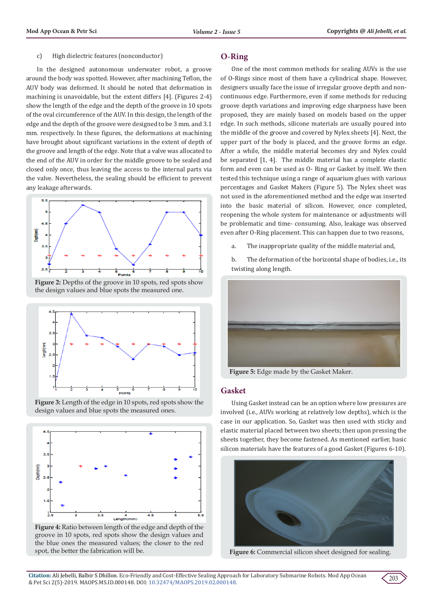#### c) High dielectric features (nonconductor)

In the designed autonomous underwater robot, a groove around the body was spotted. However, after machining Teflon, the AUV body was deformed. It should be noted that deformation in machining is unavoidable, but the extent differs [4]. (Figures 2-4) show the length of the edge and the depth of the groove in 10 spots of the oval circumference of the AUV. In this design, the length of the edge and the depth of the groove were designed to be 3 mm. and 3.1 mm. respectively. In these figures, the deformations at machining have brought about significant variations in the extent of depth of the groove and length of the edge. Note that a valve was allocated to the end of the AUV in order for the middle groove to be sealed and closed only once, thus leaving the access to the internal parts via the valve. Nevertheless, the sealing should be efficient to prevent any leakage afterwards.



Figure 2: Depths of the groove in 10 spots, red spots show the design values and blue spots the measured one.



**Figure 3:** Length of the edge in 10 spots, red spots show the design values and blue spots the measured ones.



**Figure 4:** Ratio between length of the edge and depth of the groove in 10 spots, red spots show the design values and the blue ones the measured values; the closer to the red spot, the better the fabrication will be.

### **O-Ring**

One of the most common methods for sealing AUVs is the use of O-Rings since most of them have a cylindrical shape. However, designers usually face the issue of irregular groove depth and noncontinuous edge. Furthermore, even if some methods for reducing groove depth variations and improving edge sharpness have been proposed, they are mainly based on models based on the upper edge. In such methods, silicone materials are usually poured into the middle of the groove and covered by Nylex sheets [4]. Next, the upper part of the body is placed, and the groove forms an edge. After a while, the middle material becomes dry and Nylex could be separated [1, 4]. The middle material has a complete elastic form and even can be used as O- Ring or Gasket by itself. We then tested this technique using a range of aquarium glues with various percentages and Gasket Makers (Figure 5). The Nylex sheet was not used in the aforementioned method and the edge was inserted into the basic material of silicon. However, once completed, reopening the whole system for maintenance or adjustments will be problematic and time- consuming. Also, leakage was observed even after O-Ring placement. This can happen due to two reasons,

- a. The inappropriate quality of the middle material and,
- b. The deformation of the horizontal shape of bodies, i.e., its twisting along length.



**Figure 5:** Edge made by the Gasket Maker.

### **Gasket**

Using Gasket instead can be an option where low pressures are involved (i.e., AUVs working at relatively low depths), which is the case in our application. So, Gasket was then used with sticky and elastic material placed between two sheets; then upon pressing the sheets together, they become fastened. As mentioned earlier, basic silicon materials have the features of a good Gasket (Figures 6-10).



**Figure 6:** Commercial silicon sheet designed for sealing.

**Citation:** Ali Jebelli, Balbir S Dhillon. Eco-Friendly and Cost-Effective Sealing Approach for Laboratory Submarine Robots. Mod App Ocean & Pet Sci 2(5)-2019. MAOPS.MS.ID.000148. DOI: [10.32474/MAOPS.2019.02.000148](http://dx.doi.org/10.32474/MAOPS.2019.02.000148).

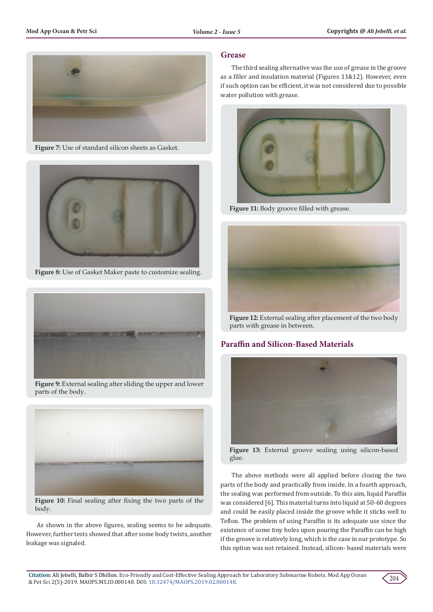

**Figure 7:** Use of standard silicon sheets as Gasket.



**Figure 8:** Use of Gasket Maker paste to customize sealing.



**Figure 9:** External sealing after sliding the upper and lower parts of the body.



**Figure 10:** Final sealing after fixing the two parts of the body.

As shown in the above figures, sealing seems to be adequate. However, further tests showed that after some body twists, another leakage was signaled.

# **Grease**

The third sealing alternative was the use of grease in the groove as a filler and insulation material (Figures 11&12). However, even if such option can be efficient, it was not considered due to possible water pollution with grease.



**Figure 11:** Body groove filled with grease.



**Figure 12:** External sealing after placement of the two body parts with grease in between.

# **Paraffin and Silicon-Based Materials**



**Figure 13:** External groove sealing using silicon-based glue.

The above methods were all applied before closing the two parts of the body and practically from inside. In a fourth approach, the sealing was performed from outside. To this aim, liquid Paraffin was considered [6]. This material turns into liquid at 50-60 degrees and could be easily placed inside the groove while it sticks well to Teflon. The problem of using Paraffin is its adequate use since the existence of some tiny holes upon pouring the Paraffin can be high if the groove is relatively long, which is the case in our prototype. So this option was not retained. Instead, silicon- based materials were

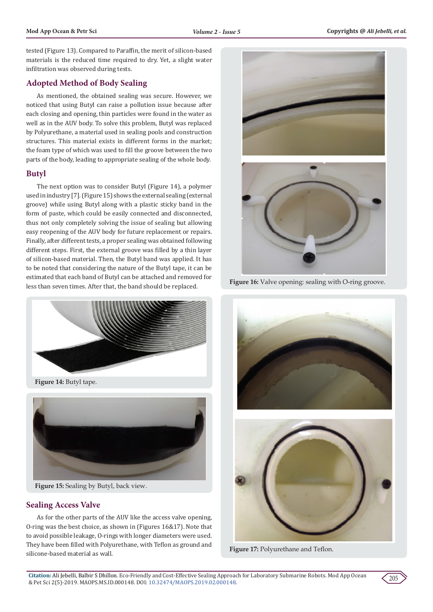tested (Figure 13). Compared to Paraffin, the merit of silicon-based materials is the reduced time required to dry. Yet, a slight water infiltration was observed during tests.

# **Adopted Method of Body Sealing**

As mentioned, the obtained sealing was secure. However, we noticed that using Butyl can raise a pollution issue because after each closing and opening, thin particles were found in the water as well as in the AUV body. To solve this problem, Butyl was replaced by Polyurethane, a material used in sealing pools and construction structures. This material exists in different forms in the market; the foam type of which was used to fill the groove between the two parts of the body, leading to appropriate sealing of the whole body.

### **Butyl**

The next option was to consider Butyl (Figure 14), a polymer used in industry [7]. (Figure 15) shows the external sealing (external groove) while using Butyl along with a plastic sticky band in the form of paste, which could be easily connected and disconnected, thus not only completely solving the issue of sealing but allowing easy reopening of the AUV body for future replacement or repairs. Finally, after different tests, a proper sealing was obtained following different steps. First, the external groove was filled by a thin layer of silicon-based material. Then, the Butyl band was applied. It has to be noted that considering the nature of the Butyl tape, it can be estimated that each band of Butyl can be attached and removed for less than seven times. After that, the band should be replaced.



**Figure 14:** Butyl tape.



**Figure 15:** Sealing by Butyl, back view.

# **Sealing Access Valve**

As for the other parts of the AUV like the access valve opening, O-ring was the best choice, as shown in (Figures 16&17). Note that to avoid possible leakage, O-rings with longer diameters were used. They have been filled with Polyurethane, with Teflon as ground and silicone-based material as wall.





**Figure 16:** Valve opening: sealing with O-ring groove.



**Figure 17:** Polyurethane and Teflon.